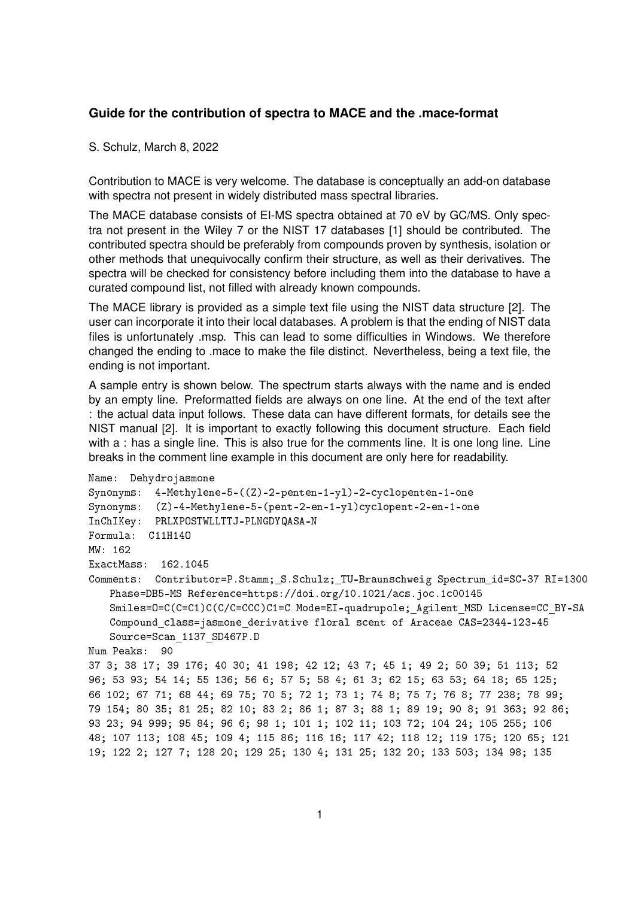## **Guide for the contribution of spectra to MACE and the .mace-format**

S. Schulz, March 8, 2022

Contribution to MACE is very welcome. The database is conceptually an add-on database with spectra not present in widely distributed mass spectral libraries.

The MACE database consists of EI-MS spectra obtained at 70 eV by GC/MS. Only spectra not present in the Wiley 7 or the NIST 17 databases [1] should be contributed. The contributed spectra should be preferably from compounds proven by synthesis, isolation or other methods that unequivocally confirm their structure, as well as their derivatives. The spectra will be checked for consistency before including them into the database to have a curated compound list, not filled with already known compounds.

The MACE library is provided as a simple text file using the NIST data structure [2]. The user can incorporate it into their local databases. A problem is that the ending of NIST data files is unfortunately .msp. This can lead to some difficulties in Windows. We therefore changed the ending to .mace to make the file distinct. Nevertheless, being a text file, the ending is not important.

A sample entry is shown below. The spectrum starts always with the name and is ended by an empty line. Preformatted fields are always on one line. At the end of the text after : the actual data input follows. These data can have different formats, for details see the NIST manual [2]. It is important to exactly following this document structure. Each field with a : has a single line. This is also true for the comments line. It is one long line. Line breaks in the comment line example in this document are only here for readability.

```
Name: Dehydrojasmone
Synonyms: 4-Methylene-5-((Z)-2-penten-1-yl)-2-cyclopenten-1-one
Synonyms: (Z)-4-Methylene-5-(pent-2-en-1-yl)cyclopent-2-en-1-one
InChIKey: PRLXPOSTWLLTTJ-PLNGDYQASA-N
Formula: C11H14O
MW: 162
ExactMass: 162.1045
Comments: Contributor=P.Stamm; S.Schulz; TU-Braunschweig Spectrum id=SC-37 RI=1300
   Phase=DB5-MS Reference=https://doi.org/10.1021/acs.joc.1c00145
   Smiles=0=C(C=C1)C(C/C=CCC)C1=C Mode=EI-quadrupole; Agilent MSD License=CC_BY-SA
   Compound class=jasmone derivative floral scent of Araceae CAS=2344-123-45
   Source=Scan 1137 SD467P.D
Num Peaks: 90
37 3; 38 17; 39 176; 40 30; 41 198; 42 12; 43 7; 45 1; 49 2; 50 39; 51 113; 52
96; 53 93; 54 14; 55 136; 56 6; 57 5; 58 4; 61 3; 62 15; 63 53; 64 18; 65 125;
66 102; 67 71; 68 44; 69 75; 70 5; 72 1; 73 1; 74 8; 75 7; 76 8; 77 238; 78 99;
79 154; 80 35; 81 25; 82 10; 83 2; 86 1; 87 3; 88 1; 89 19; 90 8; 91 363; 92 86;
93 23; 94 999; 95 84; 96 6; 98 1; 101 1; 102 11; 103 72; 104 24; 105 255; 106
48; 107 113; 108 45; 109 4; 115 86; 116 16; 117 42; 118 12; 119 175; 120 65; 121
19; 122 2; 127 7; 128 20; 129 25; 130 4; 131 25; 132 20; 133 503; 134 98; 135
```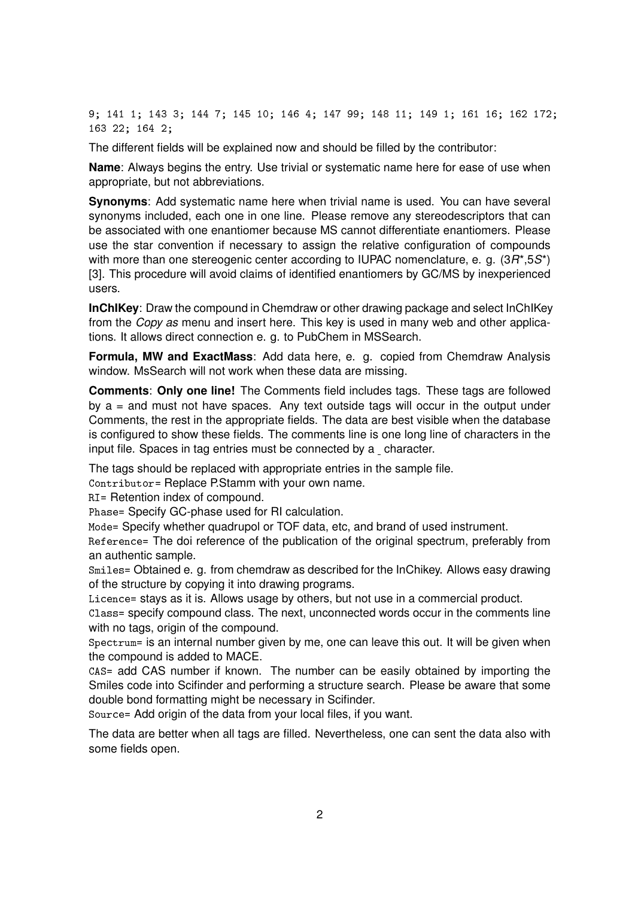9; 141 1; 143 3; 144 7; 145 10; 146 4; 147 99; 148 11; 149 1; 161 16; 162 172; 163 22; 164 2;

The different fields will be explained now and should be filled by the contributor:

**Name**: Always begins the entry. Use trivial or systematic name here for ease of use when appropriate, but not abbreviations.

**Synonyms**: Add systematic name here when trivial name is used. You can have several synonyms included, each one in one line. Please remove any stereodescriptors that can be associated with one enantiomer because MS cannot differentiate enantiomers. Please use the star convention if necessary to assign the relative configuration of compounds with more than one stereogenic center according to IUPAC nomenclature, e. g. (3*R*\*,5*S*\*) [3]. This procedure will avoid claims of identified enantiomers by GC/MS by inexperienced users.

**InChIKey**: Draw the compound in Chemdraw or other drawing package and select InChIKey from the *Copy as* menu and insert here. This key is used in many web and other applications. It allows direct connection e. g. to PubChem in MSSearch.

**Formula, MW and ExactMass**: Add data here, e. g. copied from Chemdraw Analysis window. MsSearch will not work when these data are missing.

**Comments**: **Only one line!** The Comments field includes tags. These tags are followed by  $a =$  and must not have spaces. Any text outside tags will occur in the output under Comments, the rest in the appropriate fields. The data are best visible when the database is configured to show these fields. The comments line is one long line of characters in the input file. Spaces in tag entries must be connected by a character.

The tags should be replaced with appropriate entries in the sample file.

Contributor= Replace P.Stamm with your own name.

RI= Retention index of compound.

Phase= Specify GC-phase used for RI calculation.

Mode= Specify whether quadrupol or TOF data, etc, and brand of used instrument.

Reference= The doi reference of the publication of the original spectrum, preferably from an authentic sample.

Smiles= Obtained e. g. from chemdraw as described for the InChikey. Allows easy drawing of the structure by copying it into drawing programs.

Licence= stays as it is. Allows usage by others, but not use in a commercial product.

Class= specify compound class. The next, unconnected words occur in the comments line with no tags, origin of the compound.

Spectrum= is an internal number given by me, one can leave this out. It will be given when the compound is added to MACE.

CAS= add CAS number if known. The number can be easily obtained by importing the Smiles code into Scifinder and performing a structure search. Please be aware that some double bond formatting might be necessary in Scifinder.

Source= Add origin of the data from your local files, if you want.

The data are better when all tags are filled. Nevertheless, one can sent the data also with some fields open.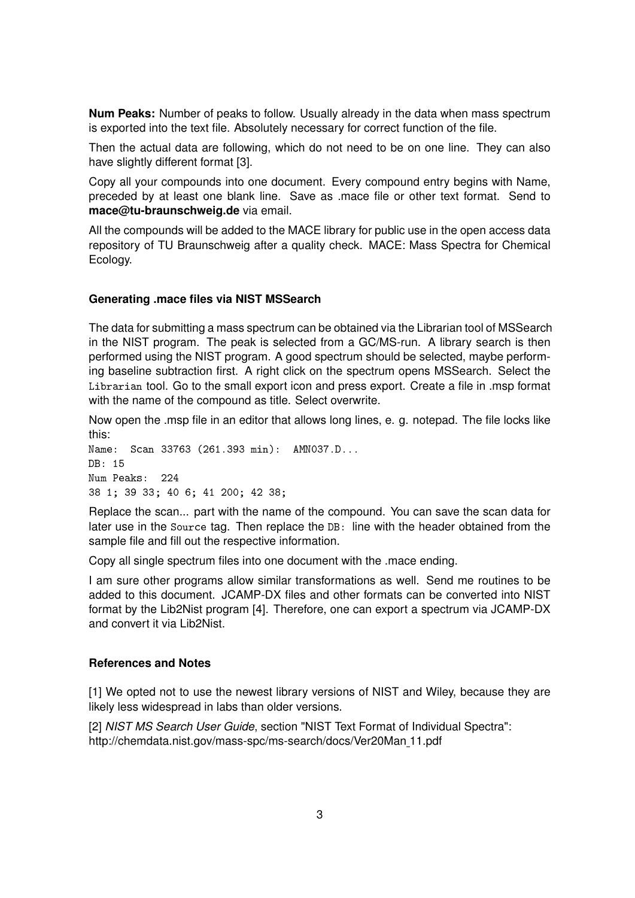**Num Peaks:** Number of peaks to follow. Usually already in the data when mass spectrum is exported into the text file. Absolutely necessary for correct function of the file.

Then the actual data are following, which do not need to be on one line. They can also have slightly different format [3].

Copy all your compounds into one document. Every compound entry begins with Name, preceded by at least one blank line. Save as .mace file or other text format. Send to **mace@tu-braunschweig.de** via email.

All the compounds will be added to the MACE library for public use in the open access data repository of TU Braunschweig after a quality check. MACE: Mass Spectra for Chemical Ecology.

## **Generating .mace files via NIST MSSearch**

The data for submitting a mass spectrum can be obtained via the Librarian tool of MSSearch in the NIST program. The peak is selected from a GC/MS-run. A library search is then performed using the NIST program. A good spectrum should be selected, maybe performing baseline subtraction first. A right click on the spectrum opens MSSearch. Select the Librarian tool. Go to the small export icon and press export. Create a file in .msp format with the name of the compound as title. Select overwrite.

Now open the .msp file in an editor that allows long lines, e. g. notepad. The file locks like this:

Name: Scan 33763 (261.393 min): AMN037.D...  $DR: 15$ Num Peaks: 224 38 1; 39 33; 40 6; 41 200; 42 38;

Replace the scan... part with the name of the compound. You can save the scan data for later use in the Source tag. Then replace the DB: line with the header obtained from the sample file and fill out the respective information.

Copy all single spectrum files into one document with the .mace ending.

I am sure other programs allow similar transformations as well. Send me routines to be added to this document. JCAMP-DX files and other formats can be converted into NIST format by the Lib2Nist program [4]. Therefore, one can export a spectrum via JCAMP-DX and convert it via Lib2Nist.

## **References and Notes**

[1] We opted not to use the newest library versions of NIST and Wiley, because they are likely less widespread in labs than older versions.

[2] *NIST MS Search User Guide*, section "NIST Text Format of Individual Spectra": http://chemdata.nist.gov/mass-spc/ms-search/docs/Ver20Man 11.pdf